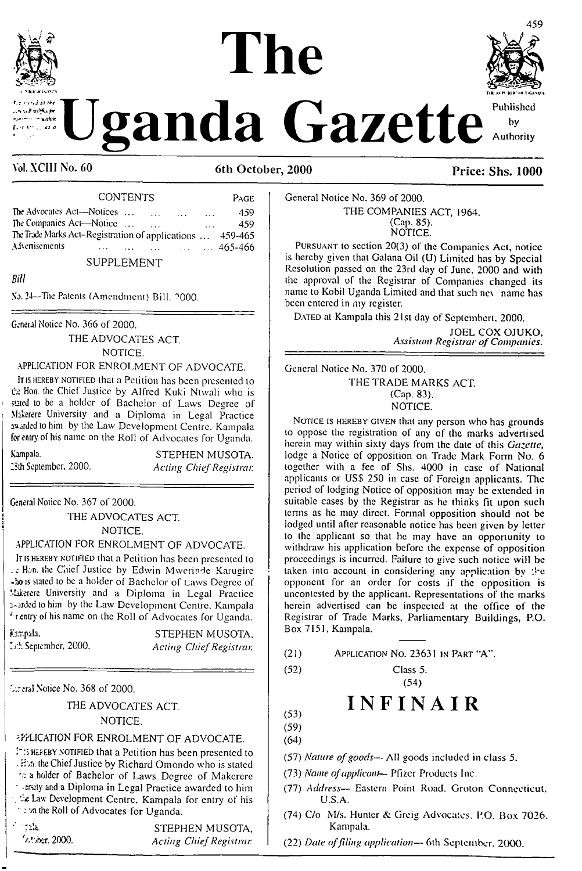# **The**



**ganda** Gazette

va at thi  $\sigma$ ( $\in$ ,  $\mu$ 

#### Vol. XCIII No. 60 6th October, 2000 **Price: Shs. 1000**

| <b>CONTENTS</b>                                                               |          | PAGE.                     |
|-------------------------------------------------------------------------------|----------|---------------------------|
| The Advocates Act—Notices<br>$\sim 100$ km s $^{-1}$<br>$\sim 100$ km $^{-1}$ | $\cdots$ | 459                       |
| The Companies Act-Notice<br>$\cdots$                                          |          | 459.                      |
| The Trade Marks Act-Registration of applications  459-465                     |          |                           |
| Advertisements<br>$\sim 100$ km s $^{-1}$<br>$\cdots$<br>$\cdots$             |          | $\ldots$ $\ldots$ 465-466 |
| SUPPLEMENT                                                                    |          |                           |

*Bill*

No. 24—The Patents (Amendment) Bill. ''OOO.

General Notice No. 366 of 2000.

THE ADVOCATES ACT. NOTICE.

#### APPLICATION FOR ENROLMENT OF ADVOCATE.

<sup>I</sup><sup>t</sup> is hereby notified that a Petition has been presented to the Hon. the Chief Justice by Alfred Kuki Ntwali who is stated to be a holder of Bachelor of Laws Degree of Makerere University and a Diploma in Legal Practice warded to him by the Law Development Centre. Kampala for entry of his name on the Roll of Advocates for Uganda.

Kampala. STEPHEN MUSOTA. 2Sih September, 2000. *Acting ChiefRegistrar.*

General Notice No. 367 of 2000.

\_\_\_\_\_\_\_\_\_\_\_\_\_\_\_\_\_

THE ADVOCATES ACT. NOTICE.

APPLICATION FOR ENROLMENT OF ADVOCATE.

It is HEREBY NOTIFIED that a Petition has been presented to Han. the Caicf Justice by Edwin Mwerinde Karugirc •ho is stated to be a holder of Bachelor of Laws Degree of Makerere University and a Diploma in Legal Practice 1-aded to him by the Law Development Centre. Kampala ' r entry of his name on the Roll of Advocates for Uganda,

fe.pala, STEPHEN MUSOTA.

''

September, 2000. *Acting ChiefRegistrar.*

*C.titai* Notice No. 368 of 2000.

THE ADVOCATES ACT. NOTICE.

#### APPLICATION FOR ENROLMENT OF ADVOCATE.

PHEREBY NOTIFIED that a Petition has been presented to . Hon the Chief Justice by Richard Omondo who is stated a holder of Bachelor of Laws Degree of Makerere  $\tau$  -ersity and a Diploma in Legal Practice awarded to him , 7£Lav; Development Centre, Kampala for entry of his " ; on the Roll of Advocates for Uganda.

Tala. STEPHEN MUSOTA, '/-Uber. 2000. *Acting ChiefRegistrar.*

#### General Notice No. 369 of 2000. THE COMPANIES ACT, 1964. (Cap. 85).

NOTICE.

Pursuant to section 20(3) of the Companies Act, notice is hereby given that Galana Oil (U) Limited has by Special Resolution passed on the 23rd day of June, 2000 and with the approval of the Registrar of Companies changed its name to Kobil Uganda Limited and that such nev name has been entered in my register.

DATED at Kampala this 21st day of Septembert, 2000.

JOEL COX OJUKO, *Assistant Registrar ofCompanies.*

General Notice No. 370 of 2000. THE TRADE MARKS ACT. (Cap. 83). NOTICE.

NOTICE IS HEREBY GIVEN that any person who has grounds to oppose the registration of any of the marks advertised herein may within sixty days from the date of this *Gazette,* lodge a Notice of opposition on Trade Mark Form No. 6 together with a fee of Shs. 4000 in case of National applicants or USS 250 in case of Foreign applicants. The period of lodging Notice of opposition may be extended in suitable cases by the Registrar as he thinks fit upon such terms as he may direct. Formal opposition should not be lodged until after reasonable notice has been given by letter to the applicant so that he may have an opportunity to withdraw his application before the expense of opposition proceedings is incurred. Failure to give such notice will be taken into account in considering any application by  $\pm e$ opponent for an order for costs if the opposition is unconlcsled by the applicant. Representations of the marks herein advertised can be inspected at the office of the Registrar of Trade Marks, Parliamentary Buildings, P.O. Box 7151, Kampala.

(21) Application No. 23631 in Part "A".

(52) Class 5. (54)

## **INFINAIR**

(53) (59) (64)

- (57) *Nature ofgoods—* All goods included in class 5.
- (73) *Name ofapplicant—* Pfizer Products Inc.
- (77) *Address—* Eastern Point Road. Groton Connecticut, U.S.A.
- (74) C/o M/s. Hunter & Greig Advocates. P.O. Box 7026. Kampala.
- (22) *Date offding application—* 6th September. 2000.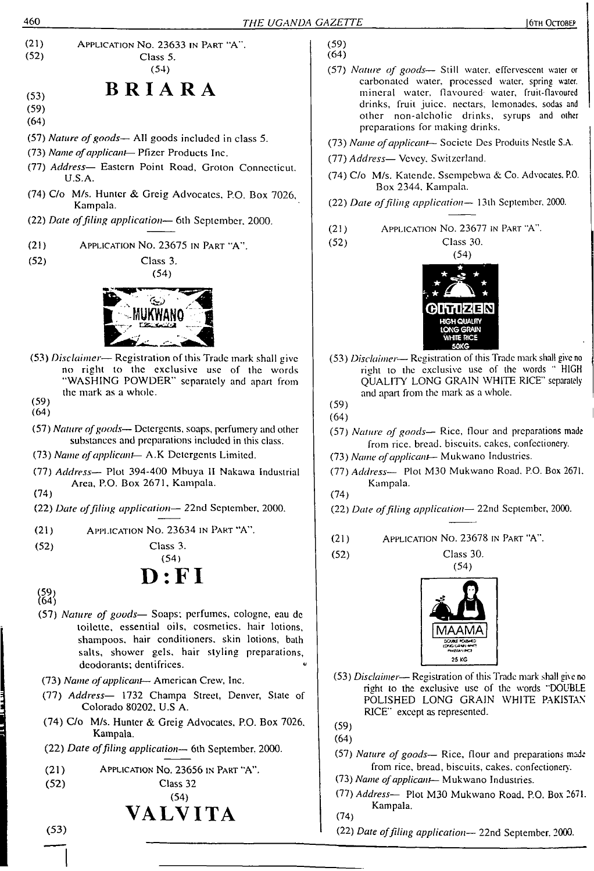

- (74) C/o M/s. Katcndc. Sscmpcbwa & Co. Advocates. P.O. Box 2344, Kampala. (22) *Dale offiling application—* <sup>1</sup>3lh September. 2000. (21) Application No. 23677 in Part "A". (52) Class 30. (54) IHTIZEN **HIGH QUALITY LONG GRAIN WHITE RICE 50KG**
- (53) *Disclaimer—* Registration of this Trade mark shall give no right to the exclusive use of the words "HIGH QUALITY LONG GRAIN WHITE RICE" separately and apart from the mark as a whole.
- (57) *Nature of goods—* Rice, flour and preparations made from rice, bread, biscuits, cakes, confectionery.
- (73) *Name ofapplicant—* Mukwano Industries.
- (77) *Address—* Plot M30 Mukwano Road. P.O. Box 2671. Kampala.
- (22) *Date offiling application—* 22nd September, 2000.
- (21) Application No. 23678 in Part "A".
	-



 $(54)$ 

- (53) *Disclaimer* Registration of this Trade mark shall ghe no right to the exclusive use of the words "DOUBLE POLISHED LONG GRAIN WHITE PAKISTAN RICE" except as represented.
- (57) *Nature of goods—* Rice, flour and preparations made from rice, bread, biscuits, cakes, confectionery.
- (73) *Name ofapplicant* Mukwano Industries.
- (77) *Address—* Ploi M30 Mukwano Road. P.O. Box 2671. Kampala.
	- (22) *Date offiling application—* 22nd September, 2000.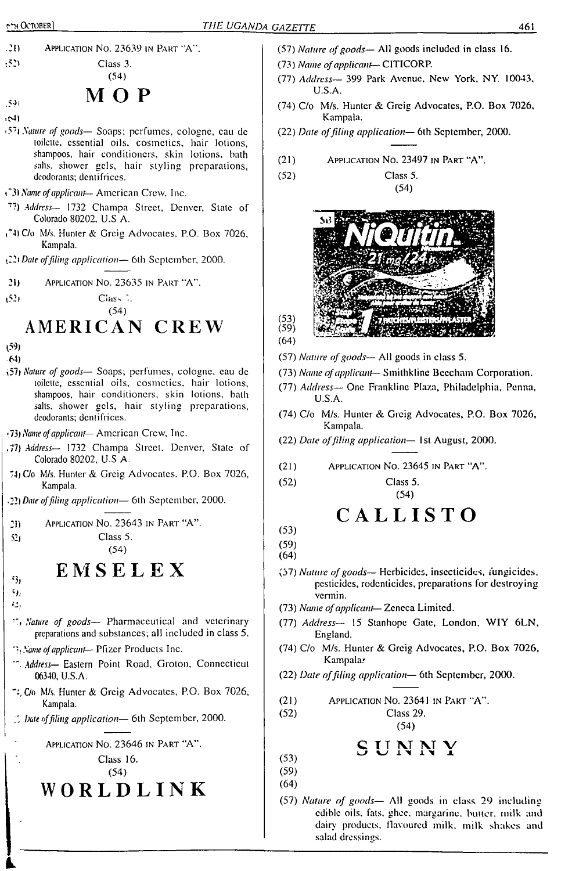.2!) Application No. 23639 in Part "A".

 $t_{52}$ <sup>t52</sup> Class 3. (54)

## **MOP**

- $\langle \bar{S} \bar{Q} \rangle$ • c4)
- -57<sup>i</sup> *Nature of goods—* Soaps; perfumes, cologne, cau de toilette, essential oils, cosmetics, hair lotions, shampoos, hair conditioners, skin lotions, bath salts, shower gels, hair styling preparations, deodorants; dentifrices.
- C3) *Name ofapplicant—* American Crew. Inc.
- *'?) Address—* <sup>1732</sup> Champa Street, Denver, Slate of Colorado 80202. U.S A.
- C4)C/o M/s. Hunter & Greig Advocates. P.O. Box 7026, Kampala.

*£2) Date offiling application—* 6th September, 2000.

- 21) Application No. 23635 in Part "A".
- t?2) CiaS'' (54)

**AMERICAN CREW**

- p9) 64)
- i57<sup>i</sup> *Nature of goods—* Soaps; perfumes, cologne, eau de toilette, essential oils, cosmetics, hair lotions, shampoos, hair conditioners, skin lotions, bath salts, shower gels, hair styling preparations, deodorants; dentifrices.
- •73) *Name ofapplicant—* American Crew, Inc.
- ,77) *Address—* 1732 Champa Street. Denver, Slate of Colorado 80202, U.S A.
- 74) C/o M/s. Hunter & Greig Advocates. P.O. Box 7026, Kampala.
- •2?) *Date offiling application—* 6th September, 2000.

21) Application No. 23643 in Part "A".  $52$ ) Class 5.

(54)

## **E M S E L E X**

- '3/ b; 43,
- *Nature of goods—* Pharmaceutical and veterinary preparations and substances; all included in class 5.
- *Name ofapplicant—* Pfizer Producls Inc.
- *Address—* Eastern Point Road, Groton, Connecticut 06340, U.S.A.
- ':,C/o M/s. Hunter & Greig Advocates, P.O. Box 7026, Kampala.
- *bate offiling application—* 6th September, 2000.

Application No. 23646 in Part "A".

Class 16. (54)

**WORLDLINK**

- (57) *Nature ofgoods—* All goods included in class 16.
- (73) *Name ofapplicant—* CITICORP.
- (77) *Address—* 399 Park Avenue. New York. NY. 10043. U.S.A.
- (74) C/o M/s. Hunter & Greig Advocates, P.O. Box 7026. Kampala.

(54)

- (22) *Date offiling application—* 6th September, 2000.
- (21) Application No. 23497 in <sup>P</sup>art "A".
- (52) Class 5.





- (57) *Nature ofgoods—* All goods in class 5.
- (73) *Name ofapplicant—* Smithklinc Beecham Corporation.
- (77) *Address—* One Franklinc Plaza, Philadelphia, Penna, U.S.A.
- (74) C/o M/s. Hunter & Greig Advocates, P.O. Box 7026, Kampala.
- (22) *Date offiling application—* 1st August, 2000.
- (21) Application No. 23645 in <sup>P</sup>art "A".
- (52) Class 5. (54)

## CALLISTO

- (53) (59)
- (64)
- (57) *Nature ofgoods—* Herbicides, insecticides, fungicides, pesticides, rodenticides, preparations for destroying vermin.
- (73) *Name ofapplicant—* Zeneca Limited.
- (77) *Address—* 15 Stanhope Gate, London, XVIY 6LN, England.
- (74) C/o M/s. Hunter & Greig Advocates, P.O. Box 7026, Kampala.
- (22) *Date offiling application—* 6th September, 2000.

(21) Application No. 23641 in <sup>P</sup>art "A".

(52) Class 29.

$$
(54)
$$

$$
S \, U \, N \, N \, Y
$$

- $(53)$ (59) (64)
- (57) *Nature of goods—* All goods in class 29 including edible oils. fats. ghee, margarine, baiter, milk and dairy products, flavoured milk, milk shakes and salad dressings.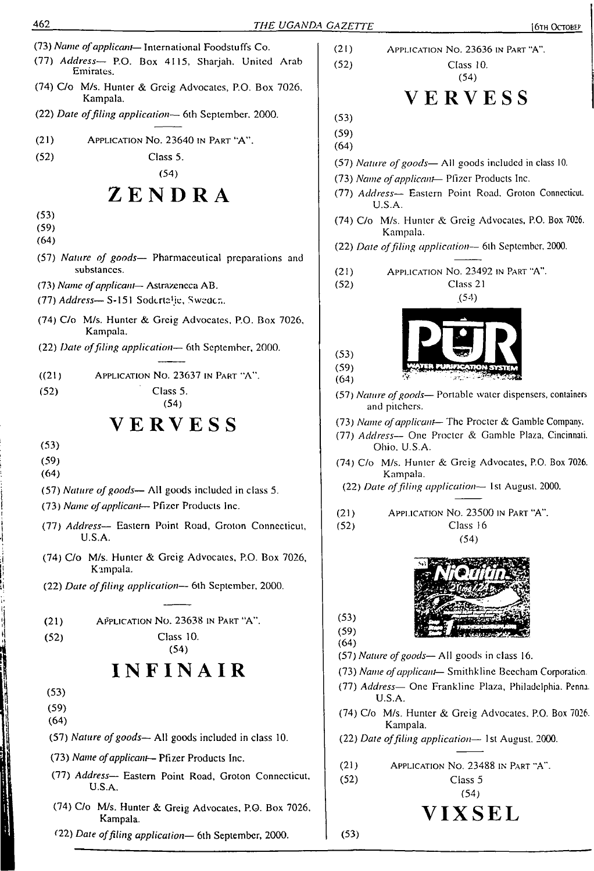- (73) *Name ofapplicant—* International Foodstuffs Co. (77) *Address—* P.O. Box 4115, Sharjah. United Arab Emirates.
- (74) C/o M/s. Hunter & Greig Advocates, P.O. Box 7026. Kampala.
- (22) *Date offiling application—* 6th September. 2000.
- (21) Application No. 23640 in Part "A".
- (52) Class 5.

## ZENDRA

- (53)
- (59)
- (64)
- (57) *Nature of goods—* Pharmaceutical preparations and substances.
- (73) *Name ofapplicant* Astrazencca AB.
- (77) *Address—*S-151 Sodcrta'jc, Sweden.
- (74) C/o M/s. Hunter & Greig Advocates. P.O. Box 7026, Kampala.
- (22) *Date offiling application—* 6th September, 2000.

((21) Application No. 23637 in Part "A".

(52) Class 5.

(54)

## **VERVESS**

(53)

(59)

(64)

- (57) *Nature ofgoods—* All goods included in class 5.
- (73) *Name ofapplicant* Pfizer Products Inc.
- (77) *Address—* Eastern Point Road, Groton Connecticut, U.S.A.
- (74) C/o M/s. Hunter & Greig Advocates, P.O. Box 7026, Kampala.
- (22) *Date offiling application—* 6th September. 2000.

| (21) | APPLICATION NO. 23638 IN PART "A". |
|------|------------------------------------|
| (52) | Class 10.                          |

```
(54)
```
## **INFINAIR**

- (53)
- (59) (64)
- 

d

- (57) *Nature ofgoods—* All goods included in class 10.
- (73) *Name ofapplicant—* Pfizer Products Inc.
- (77) *Address—* Eastern Point Road, Groton Connecticut, U.S.A.
- (74) C/o M/s. Hunter & Greig Advocates, P.O. Box 7026, Kampala.
- <22) *Date offiling application—* 6th September, 2000.
- (2<sup>1</sup>) Application No. 23636 in <sup>P</sup>art "A". (52) Class 10. (54) VERVESS (53) (59) (64) (57) *Nature ofgoods—* All goods included in class 10. (73) *Name ofapplicant*— Pfizer Products Inc. (77) *Address—* Eastern Point Road. Groton Connecticut. U.S.A. (74) C/o M/s. Hunter & Greig Advocates, P.O. Box 7026. Kampala. (22) *Date offiling application—* 61h September. 2000. (21) Application No. 23492 in Part "A". (52) Class 21 .(54) **PUR<sup>H</sup>SYSTEM**  $(53)$  $(59)$  $(64)$ (57) *Nature ofgoods—* Portable water dispensers, containers and pitchers. (73) *Name ofapplicant—* The Procter & Gamble Company. (77) *Address—* One Procter & Gamble Plaza, Cincinnati. Ohio. U.S.A. (74) C/o M/s. Hunter & Greig Advocates, P.O. Box 7026. Kampala. (22) *Date offiling application—* 1st August. 2000. (21) Application No. 23500 in Part "A". (52) Class 16 (54)  $(53)$  $(59)$ (64) (57) *Nature ofgoods—* All goods in class 16. (73) *Name ofapplicant*— Smithkline Beecham Corporation. (77) *Address—* One Franklinc Plaza, Philadelphia. Penna. U.S.A. (74) C/o M/s. Hunter & Greig Advocates. P.O. Box 7026. Kampala. (22) *Date offiling application—* 1st August. 2000.
	-
	- (21) Application No. 23488 in Part "A". (52) Class 5
		- (54)

## **VIXSEL**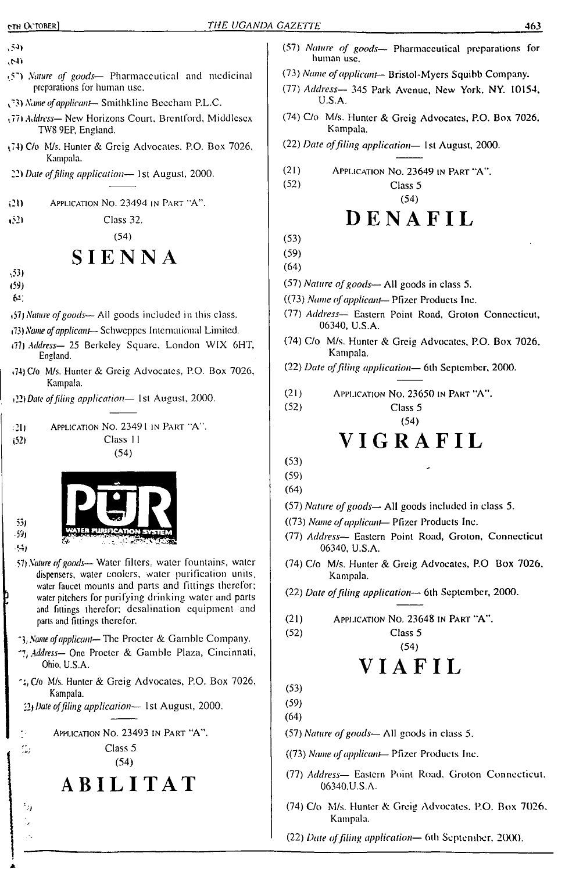- $(53)$  $(47)$
- 5"') *Nature of goods* Pharmaceutical and medicinal preparations for human use.
- *Name ofapplicant—* Smilhklinc Beecham P.L.C.
- *TTh Address—* New Horizons Court. Brentford, Middlesex TW8 9EP, England.
- (74) C/o M/s. Hunter & Greig Advocates. P.O. Box 7026, Kampala.
- *12) Date offiling application—* 1st August, 2000.
- ,21) Application No. 23494 in Part 'A".
- i?2l Class 32.

(54)

## **SIENNA**

- v53)
- (59)
- $63.$
- <57j *Nature ofgoods—*All goods included in this class.
- i73) *Name ofapplicant—* Schweppes International Limited.
- *i'll) Address—* 25 Berkeley Square, London WIX 6HT, England.
- \*74) C/o M/s. Hunter & Greig Advocates, P.O. Box 7026, Kampala.
- *ill) Date offiling application—* 1st August, 2000.

| -20  | APPLICATION NO. 23491 IN PART "A". |
|------|------------------------------------|
| (52) | Class 11                           |
|      | (54)                               |



الأذ ريب

531

- *YD Nature ofgoods—*Waler fillers, water fountains, water dispensers, waler coolers, waler purification units, water faucet mounts and parts and fittings therefor; water pitchers for purifying drinking water and parts and fittings therefor; desalination equipment and parts and fittings therefor.
- *Name ofapplicant—The* Procter & Gamble Company.
- *Address—* One Procter & Gamble Plaza, Cincinnati, Ohio, U.S.A.
- $\sim$ ; C/o M/s. Hunter & Greig Advocates, P.O. Box 7026, Kampala.

*ill Date offiling application—* 1st August, 2000.

 $\overline{\phantom{a}}$  : Application No. 23493 in Part "A".



 $\gamma_{j}$  $\ddot{\phantom{0}}$ 

Class 5 (54)

## **ABILITAT**

- (57) *Nature of goods—* Pharmaceutical preparations for human use.
- (73) *Name ofapplicant—* BrisioLMycrs Squibb Company.
- (77) *Address—* 345 Park Avenue, New York. NY. 10154. U.S.A.
- (74) C/o M/s. Huntcr & Greig Advocates, P.O. Box 7026. Kampala.
- (22) *Date offiling application—* 1st August, 2000.
- (21) Application No. 23649 in Part "A". (52) Class 5 (54)

## DENAFIL

- (53)
- (59) (64)
- (57) *Nature ofgoods—* All goods in class 5.
- ((73) *Name ofapplicant—* Pfizer Products Inc.
- (77) *Address—* Eastern Point Road, Groton Connecticut, 06340, U.S.A.
- (74) C/o M/s. Hunter & Greig Advocates, P.O. Box 7026. Kampala.
- (22) *Date offiling application—* 6th September. 2000.
- (21) Application No. 23650 in Part "A".

(52) Class 5

### (54) **VIGRAFIL**

- (53)
- (59)
- (64)
- (57) *Nature ofgoods—* All goods included in class 5.
- ((73) *Name ofapplicant* Pfizer Products Inc.
- (77) *Address—* Eastern Point Road, Groton, Connecticut 06340, U.S.A.
- (74) C/o M/s. Hunter & Greig Advocates, P.O Box 7026, Kampala.
- (22) *Date offiling application—* 6th September, 2000.
- (21) <sup>A</sup>pplication <sup>N</sup>o. <sup>23648</sup> in <sup>P</sup>art "A".

#### (52) Class 5 (54)

## **VIAFIL**

(53) (59)

(64)

- (57) *Nature of goods—* All goods in class 5.
- ((73) *Name ofapplicant—* Pfizer Products Inc.
- (77) *Address—* Eastern Point Road. Groton Connecticut. 06340.U.S.A.
- (74) C/o M/s. Hunter & Greig Advocates. P.O. Box 7026. Kampala.
- (22) *Date offiling application—* 6th September. 2000.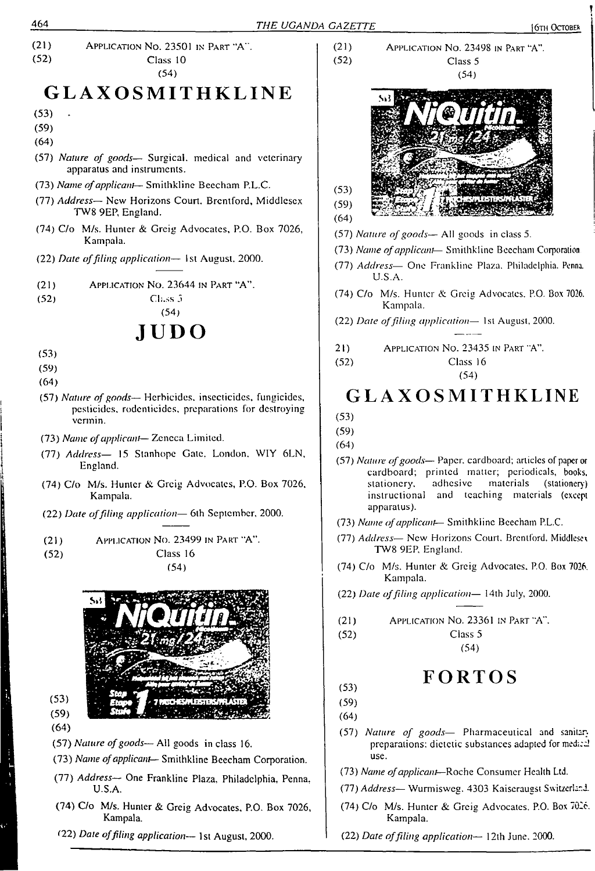

*<22) Date offiling application—* 1st August, 2000.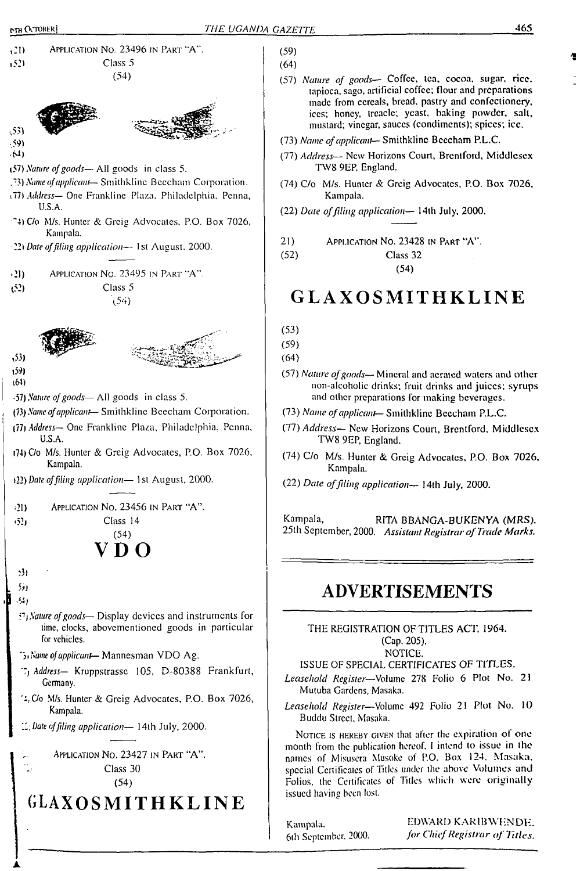<u>.</u>



| (59) |  |
|------|--|
| (64) |  |

- (57) *Nature of goods—* Coffee, tea, cocoa, sugar, rice, tapioca, sago, artificial coffee; flour and preparations made from cereals, bread, pastry and confectionery, ices; honey, treacle; yeast, baking powder, salt, mustard; vinegar, sauces (condiments); spices; ice.
- (73) *Name ofapplicant—* Smithklinc Beecham P.L.C.
- (77) *Address—* New Horizons Court, Brentford, Middlesex TW8 9EP, England.
- (74) C/o M/s. Hunter & Greig Advocates, P.O. Box 7026, Kampala.
- (22) *Date offiling application—* <sup>1</sup>4lh July. 2000.

21) Application No. 23428 in Part "A".

(52) Class 32

(54)

## **GLAXOSMITHKLINE**

- (53)
- (59)

(64)

- (57) *Nature ofgoods—* Mineral and aerated walers and other non-alcoholic drinks; fruit drinks and juices; syrups and other preparations for making beverages.
- *(7T) Name ofapplicant— SnuthkYine* Beecham P.L.C.
- (77) *Address—* New Horizons Court, Brentford. Middlesex TW8 9EP, England.
- (74) C/o M/s. Hunter & Greig Advocates, P.O. Box 7026, Kampala.
- (22) *Date offiling application—* 14th July, 2000.

Kampala, RITA BBANGA-BUKENYA (MRS), 25th September, 2000. *Assistant Registrar ofTrade Marks.*

#### **ADVERTISEMENTS**

THE REGISTRATION OF TITLES ACT, 1964. (Cap. 205).

NOTICE.

ISSUE OF SPECIAL CERTIFICATES OF TITLES.

*Leasehold Register*—Volume 278 Folio 6 Plot No. 21 Mutuba Gardens, Masaka.

*Leasehold Register*—Volume 492 Folio 21 Plot No. 10 Buddu Street, Masaka.

Notice is hereby given that after the expiration of one month from the publication hereof. <sup>I</sup> intend to issue in lhe names of Misuscra Musoke of P.O. Box 124. Masaka, special Certificates of Titles under the above Volumes and Folios, lhe Certificates of Tides which were originally issued having been lost.

Kampala. 6lh September. 2000. EDWARD KARIBWENDE, *for ChiefRegistrar of Titles.*